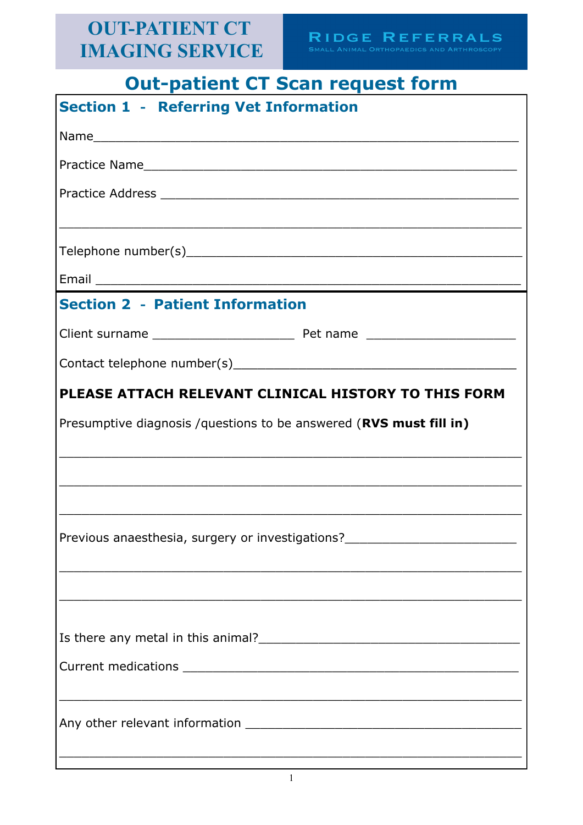# **Out-patient CT Scan request form**

| <b>Section 1 - Referring Vet Information</b>                                                                  |                                                                                                                    |  |  |
|---------------------------------------------------------------------------------------------------------------|--------------------------------------------------------------------------------------------------------------------|--|--|
|                                                                                                               |                                                                                                                    |  |  |
|                                                                                                               |                                                                                                                    |  |  |
|                                                                                                               |                                                                                                                    |  |  |
|                                                                                                               |                                                                                                                    |  |  |
|                                                                                                               |                                                                                                                    |  |  |
|                                                                                                               |                                                                                                                    |  |  |
|                                                                                                               |                                                                                                                    |  |  |
|                                                                                                               |                                                                                                                    |  |  |
|                                                                                                               |                                                                                                                    |  |  |
| <b>Section 2 - Patient Information</b>                                                                        |                                                                                                                    |  |  |
|                                                                                                               |                                                                                                                    |  |  |
|                                                                                                               |                                                                                                                    |  |  |
|                                                                                                               |                                                                                                                    |  |  |
| PLEASE ATTACH RELEVANT CLINICAL HISTORY TO THIS FORM                                                          |                                                                                                                    |  |  |
| Presumptive diagnosis / questions to be answered (RVS must fill in)                                           |                                                                                                                    |  |  |
|                                                                                                               |                                                                                                                    |  |  |
|                                                                                                               |                                                                                                                    |  |  |
|                                                                                                               |                                                                                                                    |  |  |
|                                                                                                               |                                                                                                                    |  |  |
|                                                                                                               |                                                                                                                    |  |  |
| Previous anaesthesia, surgery or investigations? [1997] [1998] [1998] [1998] [1998] [1998] [1998] [1999] [199 |                                                                                                                    |  |  |
|                                                                                                               | <u> 1989 - Johann John Stone, markin bashkar (b. 1989)</u>                                                         |  |  |
|                                                                                                               |                                                                                                                    |  |  |
|                                                                                                               |                                                                                                                    |  |  |
|                                                                                                               |                                                                                                                    |  |  |
| Is there any metal in this animal?<br><u> Is there any metal in this animal?</u>                              |                                                                                                                    |  |  |
|                                                                                                               |                                                                                                                    |  |  |
|                                                                                                               | <u> 1999 - Jan James James James James James James James James James James James James James James James James</u> |  |  |
|                                                                                                               |                                                                                                                    |  |  |
|                                                                                                               |                                                                                                                    |  |  |
|                                                                                                               |                                                                                                                    |  |  |
|                                                                                                               | ,我们也不会有什么。""我们的人,我们也不会有什么?""我们的人,我们也不会有什么?""我们的人,我们也不会有什么?""我们的人,我们也不会有什么?""我们的人                                   |  |  |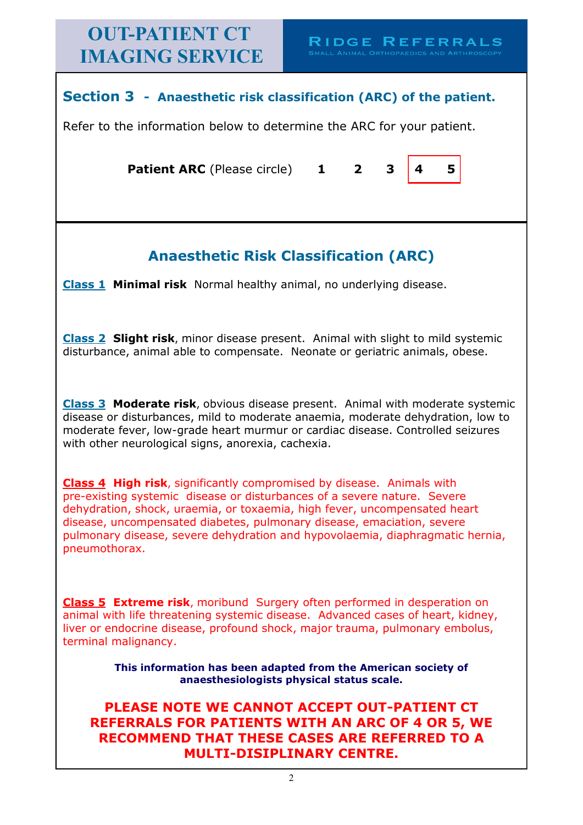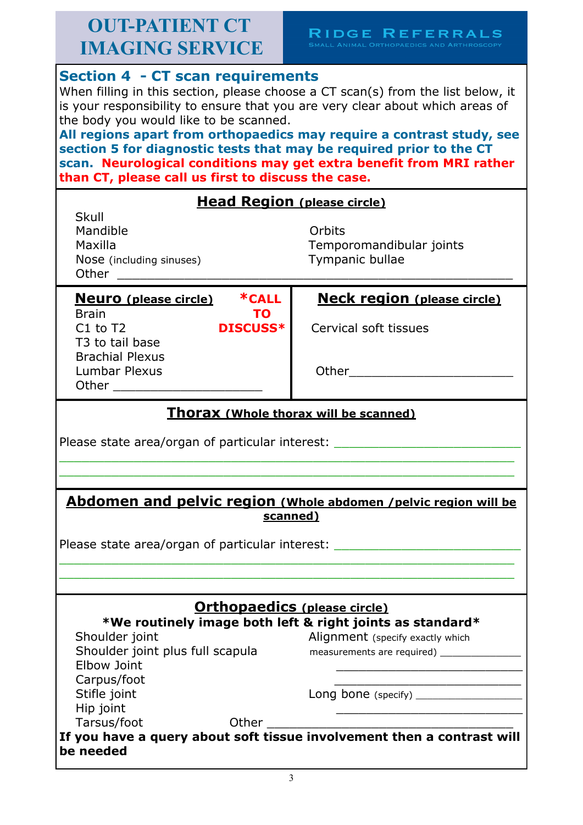# $\begin{array}{ll} \bf{R} \, \textrm{IDGE} \, \, \bf{R} \, \textrm{E} \, \textrm{F} \, \textrm{E} \, \textrm{R} \, \textrm{R} \, \textrm{A} \, \textrm{L} \, \textrm{S} \\ \scriptscriptstyle \textrm{\tiny{SMALL ANIMAL ORTHOPAEDICS AND ARTHROSCOPY}} \end{array}$

| <b>Section 4 - CT scan requirements</b><br>When filling in this section, please choose a CT scan(s) from the list below, it<br>is your responsibility to ensure that you are very clear about which areas of<br>the body you would like to be scanned.<br>All regions apart from orthopaedics may require a contrast study, see<br>section 5 for diagnostic tests that may be required prior to the CT<br>scan. Neurological conditions may get extra benefit from MRI rather<br>than CT, please call us first to discuss the case. |                                                                                                                                                                                                                                |  |  |  |
|-------------------------------------------------------------------------------------------------------------------------------------------------------------------------------------------------------------------------------------------------------------------------------------------------------------------------------------------------------------------------------------------------------------------------------------------------------------------------------------------------------------------------------------|--------------------------------------------------------------------------------------------------------------------------------------------------------------------------------------------------------------------------------|--|--|--|
|                                                                                                                                                                                                                                                                                                                                                                                                                                                                                                                                     |                                                                                                                                                                                                                                |  |  |  |
| <b>Head Region (please circle)</b><br>Skull<br>Mandible<br>Maxilla<br>Nose (including sinuses)<br>Other                                                                                                                                                                                                                                                                                                                                                                                                                             | Orbits<br>Temporomandibular joints<br>Tympanic bullae                                                                                                                                                                          |  |  |  |
| *CALL                                                                                                                                                                                                                                                                                                                                                                                                                                                                                                                               |                                                                                                                                                                                                                                |  |  |  |
| <b>Neuro</b> (please circle)<br><b>Brain</b><br>TO.<br>$C1$ to T2<br><b>DISCUSS*</b><br>T3 to tail base                                                                                                                                                                                                                                                                                                                                                                                                                             | <b>Neck region (please circle)</b><br>Cervical soft tissues                                                                                                                                                                    |  |  |  |
| <b>Brachial Plexus</b><br><b>Lumbar Plexus</b><br>Other the control of the control of the control of the control of the control of the control of the control of                                                                                                                                                                                                                                                                                                                                                                    | Other the contract of the contract of the contract of the contract of the contract of the contract of the contract of the contract of the contract of the contract of the contract of the contract of the contract of the cont |  |  |  |
| <b>Thorax (Whole thorax will be scanned)</b>                                                                                                                                                                                                                                                                                                                                                                                                                                                                                        |                                                                                                                                                                                                                                |  |  |  |
| Please state area/organ of particular interest:                                                                                                                                                                                                                                                                                                                                                                                                                                                                                     |                                                                                                                                                                                                                                |  |  |  |
|                                                                                                                                                                                                                                                                                                                                                                                                                                                                                                                                     |                                                                                                                                                                                                                                |  |  |  |
| Abdomen and pelvic region (Whole abdomen / pelvic region will be<br>scanned)<br>Please state area/organ of particular interest:                                                                                                                                                                                                                                                                                                                                                                                                     |                                                                                                                                                                                                                                |  |  |  |
|                                                                                                                                                                                                                                                                                                                                                                                                                                                                                                                                     |                                                                                                                                                                                                                                |  |  |  |
| <b>Orthopaedics (please circle)</b><br>*We routinely image both left & right joints as standard*<br>Shoulder joint<br>Alignment (specify exactly which<br>Shoulder joint plus full scapula                                                                                                                                                                                                                                                                                                                                          |                                                                                                                                                                                                                                |  |  |  |
| <b>Elbow Joint</b>                                                                                                                                                                                                                                                                                                                                                                                                                                                                                                                  |                                                                                                                                                                                                                                |  |  |  |
| Carpus/foot                                                                                                                                                                                                                                                                                                                                                                                                                                                                                                                         |                                                                                                                                                                                                                                |  |  |  |
| Stifle joint                                                                                                                                                                                                                                                                                                                                                                                                                                                                                                                        | Long bone (specify) $\frac{1}{2}$                                                                                                                                                                                              |  |  |  |
| Hip joint                                                                                                                                                                                                                                                                                                                                                                                                                                                                                                                           |                                                                                                                                                                                                                                |  |  |  |
| Tarsus/foot<br>Other                                                                                                                                                                                                                                                                                                                                                                                                                                                                                                                |                                                                                                                                                                                                                                |  |  |  |
| If you have a query about soft tissue involvement then a contrast will<br>be needed                                                                                                                                                                                                                                                                                                                                                                                                                                                 |                                                                                                                                                                                                                                |  |  |  |
| 3                                                                                                                                                                                                                                                                                                                                                                                                                                                                                                                                   |                                                                                                                                                                                                                                |  |  |  |
|                                                                                                                                                                                                                                                                                                                                                                                                                                                                                                                                     |                                                                                                                                                                                                                                |  |  |  |
|                                                                                                                                                                                                                                                                                                                                                                                                                                                                                                                                     |                                                                                                                                                                                                                                |  |  |  |